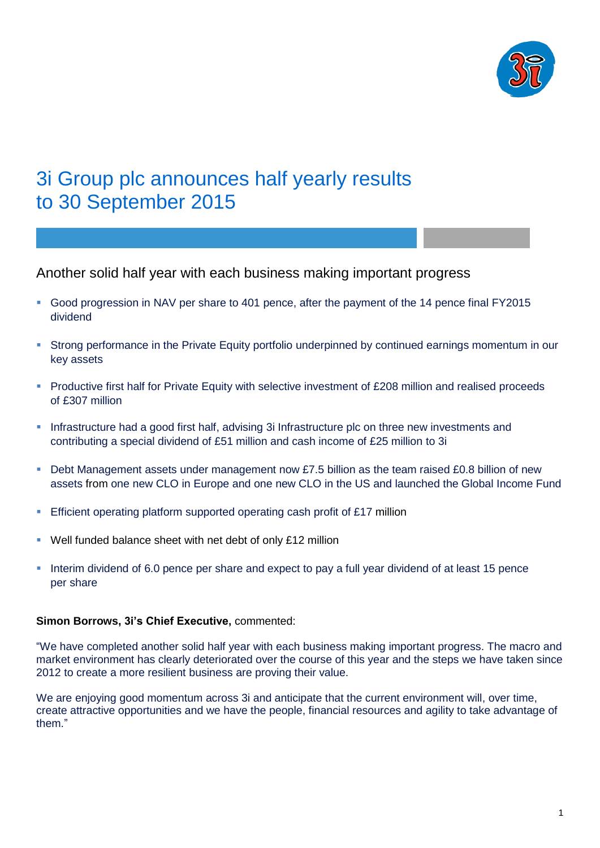

# 3i Group plc announces half yearly results to 30 September 2015

Another solid half year with each business making important progress

- Good progression in NAV per share to 401 pence, after the payment of the 14 pence final FY2015 dividend
- Strong performance in the Private Equity portfolio underpinned by continued earnings momentum in our key assets
- **Productive first half for Private Equity with selective investment of £208 million and realised proceeds** of £307 million
- **Infrastructure had a good first half, advising 3i Infrastructure plc on three new investments and** contributing a special dividend of £51 million and cash income of £25 million to 3i
- Debt Management assets under management now £7.5 billion as the team raised £0.8 billion of new assets from one new CLO in Europe and one new CLO in the US and launched the Global Income Fund
- Efficient operating platform supported operating cash profit of £17 million
- Well funded balance sheet with net debt of only £12 million
- Interim dividend of 6.0 pence per share and expect to pay a full year dividend of at least 15 pence per share

# **Simon Borrows, 3i's Chief Executive,** commented:

"We have completed another solid half year with each business making important progress. The macro and market environment has clearly deteriorated over the course of this year and the steps we have taken since 2012 to create a more resilient business are proving their value.

We are enjoying good momentum across 3i and anticipate that the current environment will, over time, create attractive opportunities and we have the people, financial resources and agility to take advantage of them."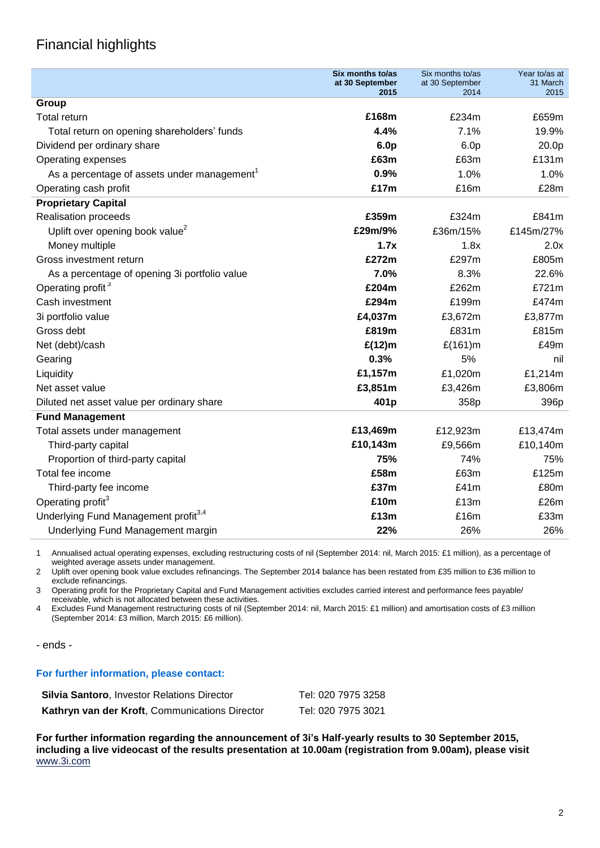# Financial highlights

|                                                         | Six months to/as<br>at 30 September | Six months to/as<br>at 30 September | Year to/as at<br>31 March |
|---------------------------------------------------------|-------------------------------------|-------------------------------------|---------------------------|
|                                                         | 2015                                | 2014                                | 2015                      |
| Group                                                   |                                     |                                     |                           |
| Total return                                            | £168m                               | £234m                               | £659m                     |
| Total return on opening shareholders' funds             | 4.4%                                | 7.1%                                | 19.9%                     |
| Dividend per ordinary share                             | 6.0 <sub>p</sub>                    | 6.0 <sub>p</sub>                    | 20.0p                     |
| Operating expenses                                      | £63m                                | £63m                                | £131m                     |
| As a percentage of assets under management <sup>1</sup> | 0.9%                                | 1.0%                                | 1.0%                      |
| Operating cash profit                                   | £17m                                | £16m                                | £28m                      |
| <b>Proprietary Capital</b>                              |                                     |                                     |                           |
| Realisation proceeds                                    | £359m                               | £324m                               | £841m                     |
| Uplift over opening book value <sup>2</sup>             | £29m/9%                             | £36m/15%                            | £145m/27%                 |
| Money multiple                                          | 1.7x                                | 1.8x                                | 2.0x                      |
| Gross investment return                                 | £272m                               | £297m                               | £805m                     |
| As a percentage of opening 3i portfolio value           | 7.0%                                | 8.3%                                | 22.6%                     |
| Operating profit <sup>3</sup>                           | £204m                               | £262m                               | £721m                     |
| Cash investment                                         | £294m                               | £199m                               | £474m                     |
| 3i portfolio value                                      | £4,037m                             | £3,672m                             | £3,877m                   |
| Gross debt                                              | £819m                               | £831m                               | £815m                     |
| Net (debt)/cash                                         | £(12)m                              | £(161)m                             | £49m                      |
| Gearing                                                 | 0.3%                                | 5%                                  | nil                       |
| Liquidity                                               | £1,157m                             | £1,020m                             | £1,214m                   |
| Net asset value                                         | £3,851m                             | £3,426m                             | £3,806m                   |
| Diluted net asset value per ordinary share              | 401p                                | 358p                                | 396p                      |
| <b>Fund Management</b>                                  |                                     |                                     |                           |
| Total assets under management                           | £13,469m                            | £12,923m                            | £13,474m                  |
| Third-party capital                                     | £10,143m                            | £9,566m                             | £10,140m                  |
| Proportion of third-party capital                       | 75%                                 | 74%                                 | 75%                       |
| Total fee income                                        | £58m                                | £63m                                | £125m                     |
| Third-party fee income                                  | £37m                                | £41m                                | £80m                      |
| Operating profit <sup>3</sup>                           | £10m                                | £13m                                | £26m                      |
| Underlying Fund Management profit <sup>3,4</sup>        | £13m                                | £16m                                | £33m                      |
| Underlying Fund Management margin                       | 22%                                 | 26%                                 | 26%                       |

1 Annualised actual operating expenses, excluding restructuring costs of nil (September 2014: nil, March 2015: £1 million), as a percentage of weighted average assets under management.

2 Uplift over opening book value excludes refinancings. The September 2014 balance has been restated from £35 million to £36 million to exclude refinancings.

3 Operating profit for the Proprietary Capital and Fund Management activities excludes carried interest and performance fees payable/ receivable, which is not allocated between these activities.

4 Excludes Fund Management restructuring costs of nil (September 2014: nil, March 2015: £1 million) and amortisation costs of £3 million (September 2014: £3 million, March 2015: £6 million).

- ends -

## **For further information, please contact:**

| <b>Silvia Santoro</b> , Investor Relations Director | Tel: 020 7975 3258 |
|-----------------------------------------------------|--------------------|
| Kathryn van der Kroft, Communications Director      | Tel: 020 7975 3021 |

**For further information regarding the announcement of 3i's Half-yearly results to 30 September 2015, including a live videocast of the results presentation at 10.00am (registration from 9.00am), please visit**  [www.3i.com](http://www.3i.com/)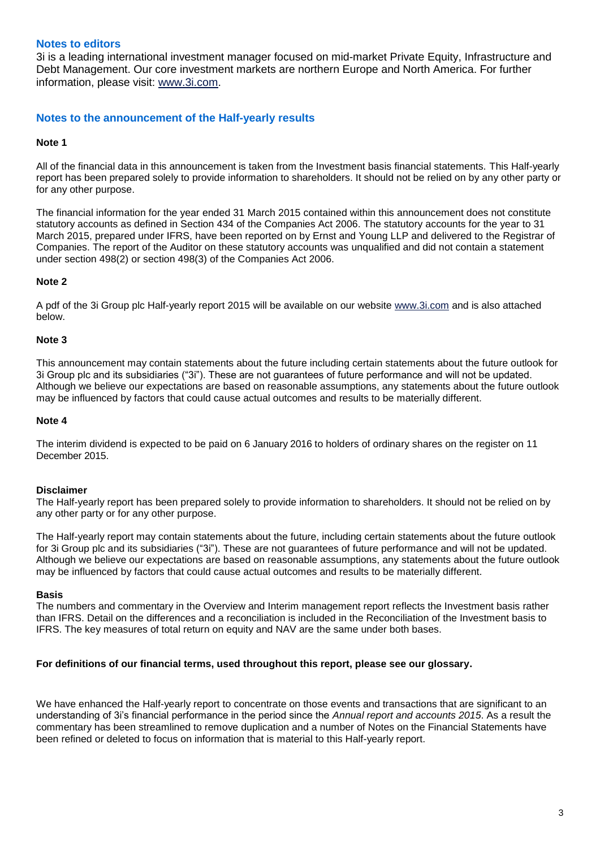# **Notes to editors**

3i is a leading international investment manager focused on mid-market Private Equity, Infrastructure and Debt Management. Our core investment markets are northern Europe and North America. For further information, please visit: [www.3i.com.](http://www.3i.com/)

# **Notes to the announcement of the Half-yearly results**

## **Note 1**

All of the financial data in this announcement is taken from the Investment basis financial statements. This Half-yearly report has been prepared solely to provide information to shareholders. It should not be relied on by any other party or for any other purpose.

The financial information for the year ended 31 March 2015 contained within this announcement does not constitute statutory accounts as defined in Section 434 of the Companies Act 2006. The statutory accounts for the year to 31 March 2015, prepared under IFRS, have been reported on by Ernst and Young LLP and delivered to the Registrar of Companies. The report of the Auditor on these statutory accounts was unqualified and did not contain a statement under section 498(2) or section 498(3) of the Companies Act 2006.

# **Note 2**

A pdf of the 3i Group plc Half-yearly report 2015 will be available on our website [www.3i.com](http://www.3i.com/) and is also attached below.

## **Note 3**

This announcement may contain statements about the future including certain statements about the future outlook for 3i Group plc and its subsidiaries ("3i"). These are not guarantees of future performance and will not be updated. Although we believe our expectations are based on reasonable assumptions, any statements about the future outlook may be influenced by factors that could cause actual outcomes and results to be materially different.

#### **Note 4**

The interim dividend is expected to be paid on 6 January 2016 to holders of ordinary shares on the register on 11 December 2015.

## **Disclaimer**

The Half-yearly report has been prepared solely to provide information to shareholders. It should not be relied on by any other party or for any other purpose.

The Half-yearly report may contain statements about the future, including certain statements about the future outlook for 3i Group plc and its subsidiaries ("3i"). These are not guarantees of future performance and will not be updated. Although we believe our expectations are based on reasonable assumptions, any statements about the future outlook may be influenced by factors that could cause actual outcomes and results to be materially different.

## **Basis**

The numbers and commentary in the Overview and Interim management report reflects the Investment basis rather than IFRS. Detail on the differences and a reconciliation is included in the Reconciliation of the Investment basis to IFRS. The key measures of total return on equity and NAV are the same under both bases.

## **For definitions of our financial terms, used throughout this report, please see our glossary.**

We have enhanced the Half-yearly report to concentrate on those events and transactions that are significant to an understanding of 3i's financial performance in the period since the *Annual report and accounts 2015*. As a result the commentary has been streamlined to remove duplication and a number of Notes on the Financial Statements have been refined or deleted to focus on information that is material to this Half-yearly report.